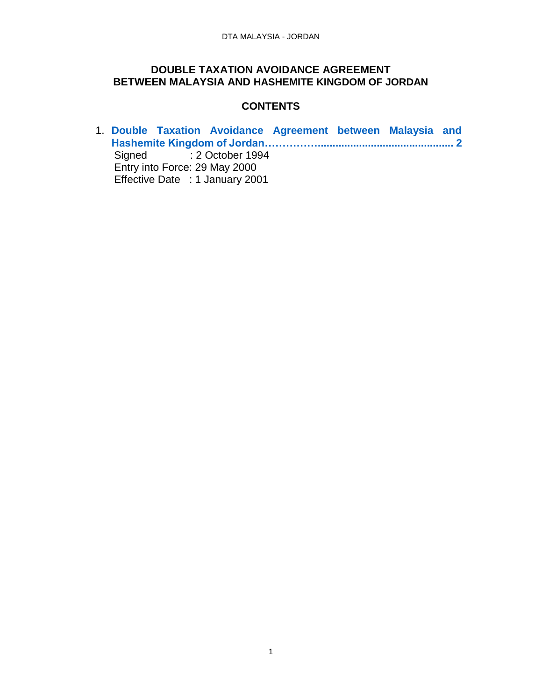#### **DOUBLE TAXATION AVOIDANCE AGREEMENT BETWEEN MALAYSIA AND HASHEMITE KINGDOM OF JORDAN**

#### **CONTENTS**

1. **[Double Taxation Avoidance Agreement between Malaysia and](#page-1-0)  [Hashemite Kingdom of Jordan……………..............................................](#page-1-0) 2** Signed : 2 October 1994 Entry into Force: 29 May 2000 Effective Date : 1 January 2001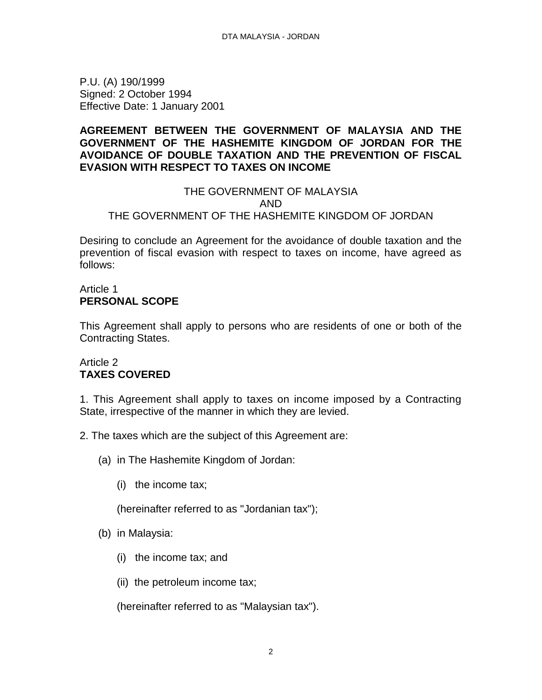<span id="page-1-0"></span>P.U. (A) 190/1999 Signed: 2 October 1994 Effective Date: 1 January 2001

### **AGREEMENT BETWEEN THE GOVERNMENT OF MALAYSIA AND THE GOVERNMENT OF THE HASHEMITE KINGDOM OF JORDAN FOR THE AVOIDANCE OF DOUBLE TAXATION AND THE PREVENTION OF FISCAL EVASION WITH RESPECT TO TAXES ON INCOME**

#### THE GOVERNMENT OF MALAYSIA AND THE GOVERNMENT OF THE HASHEMITE KINGDOM OF JORDAN

Desiring to conclude an Agreement for the avoidance of double taxation and the prevention of fiscal evasion with respect to taxes on income, have agreed as follows:

#### Article 1 **PERSONAL SCOPE**

This Agreement shall apply to persons who are residents of one or both of the Contracting States.

## Article 2 **TAXES COVERED**

1. This Agreement shall apply to taxes on income imposed by a Contracting State, irrespective of the manner in which they are levied.

- 2. The taxes which are the subject of this Agreement are:
	- (a) in The Hashemite Kingdom of Jordan:
		- (i) the income tax;

(hereinafter referred to as "Jordanian tax");

- (b) in Malaysia:
	- (i) the income tax; and
	- (ii) the petroleum income tax;

(hereinafter referred to as "Malaysian tax").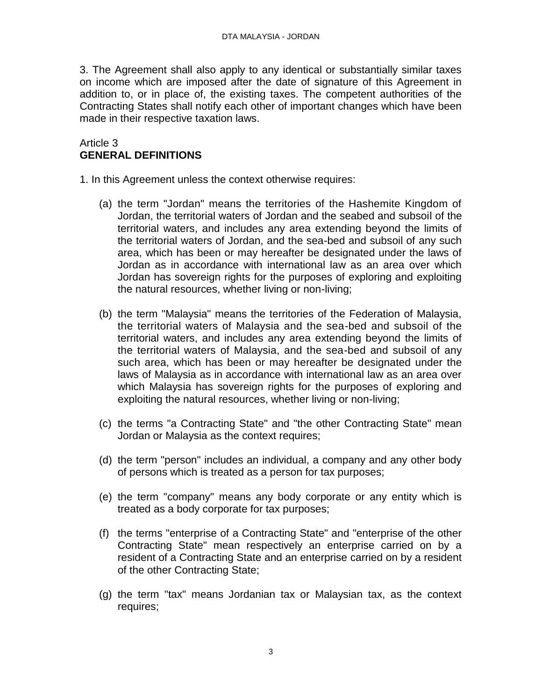3. The Agreement shall also apply to any identical or substantially similar taxes on income which are imposed after the date of signature of this Agreement in addition to, or in place of, the existing taxes. The competent authorities of the Contracting States shall notify each other of important changes which have been made in their respective taxation laws.

#### Article 3 **GENERAL DEFINITIONS**

1. In this Agreement unless the context otherwise requires:

- (a) the term "Jordan" means the territories of the Hashemite Kingdom of Jordan, the territorial waters of Jordan and the seabed and subsoil of the territorial waters, and includes any area extending beyond the limits of the territorial waters of Jordan, and the sea-bed and subsoil of any such area, which has been or may hereafter be designated under the laws of Jordan as in accordance with international law as an area over which Jordan has sovereign rights for the purposes of exploring and exploiting the natural resources, whether living or non-living;
- (b) the term "Malaysia" means the territories of the Federation of Malaysia, the territorial waters of Malaysia and the sea-bed and subsoil of the territorial waters, and includes any area extending beyond the limits of the territorial waters of Malaysia, and the sea-bed and subsoil of any such area, which has been or may hereafter be designated under the laws of Malaysia as in accordance with international law as an area over which Malaysia has sovereign rights for the purposes of exploring and exploiting the natural resources, whether living or non-living;
- (c) the terms "a Contracting State" and "the other Contracting State" mean Jordan or Malaysia as the context requires;
- (d) the term "person" includes an individual, a company and any other body of persons which is treated as a person for tax purposes;
- (e) the term "company" means any body corporate or any entity which is treated as a body corporate for tax purposes;
- (f) the terms "enterprise of a Contracting State" and "enterprise of the other Contracting State" mean respectively an enterprise carried on by a resident of a Contracting State and an enterprise carried on by a resident of the other Contracting State;
- (g) the term "tax" means Jordanian tax or Malaysian tax, as the context requires;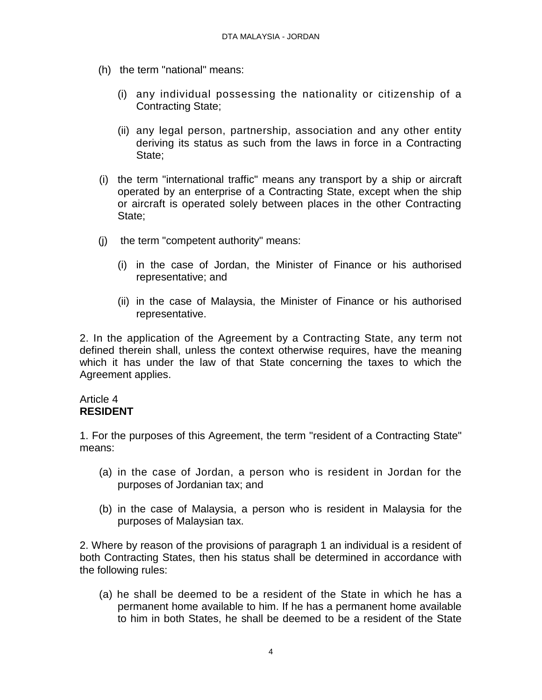- (h) the term "national" means:
	- (i) any individual possessing the nationality or citizenship of a Contracting State;
	- (ii) any legal person, partnership, association and any other entity deriving its status as such from the laws in force in a Contracting State;
- (i) the term "international traffic" means any transport by a ship or aircraft operated by an enterprise of a Contracting State, except when the ship or aircraft is operated solely between places in the other Contracting State;
- (j) the term "competent authority" means:
	- (i) in the case of Jordan, the Minister of Finance or his authorised representative; and
	- (ii) in the case of Malaysia, the Minister of Finance or his authorised representative.

2. In the application of the Agreement by a Contracting State, any term not defined therein shall, unless the context otherwise requires, have the meaning which it has under the law of that State concerning the taxes to which the Agreement applies.

#### Article 4 **RESIDENT**

1. For the purposes of this Agreement, the term "resident of a Contracting State" means:

- (a) in the case of Jordan, a person who is resident in Jordan for the purposes of Jordanian tax; and
- (b) in the case of Malaysia, a person who is resident in Malaysia for the purposes of Malaysian tax.

2. Where by reason of the provisions of paragraph 1 an individual is a resident of both Contracting States, then his status shall be determined in accordance with the following rules:

(a) he shall be deemed to be a resident of the State in which he has a permanent home available to him. If he has a permanent home available to him in both States, he shall be deemed to be a resident of the State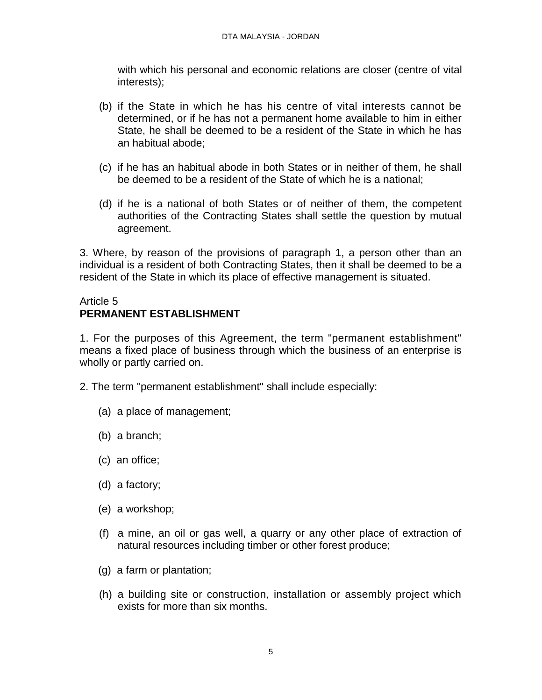with which his personal and economic relations are closer (centre of vital interests);

- (b) if the State in which he has his centre of vital interests cannot be determined, or if he has not a permanent home available to him in either State, he shall be deemed to be a resident of the State in which he has an habitual abode;
- (c) if he has an habitual abode in both States or in neither of them, he shall be deemed to be a resident of the State of which he is a national;
- (d) if he is a national of both States or of neither of them, the competent authorities of the Contracting States shall settle the question by mutual agreement.

3. Where, by reason of the provisions of paragraph 1, a person other than an individual is a resident of both Contracting States, then it shall be deemed to be a resident of the State in which its place of effective management is situated.

## Article 5 **PERMANENT ESTABLISHMENT**

1. For the purposes of this Agreement, the term "permanent establishment" means a fixed place of business through which the business of an enterprise is wholly or partly carried on.

- 2. The term "permanent establishment" shall include especially:
	- (a) a place of management;
	- (b) a branch;
	- (c) an office;
	- (d) a factory;
	- (e) a workshop;
	- (f) a mine, an oil or gas well, a quarry or any other place of extraction of natural resources including timber or other forest produce;
	- (g) a farm or plantation;
	- (h) a building site or construction, installation or assembly project which exists for more than six months.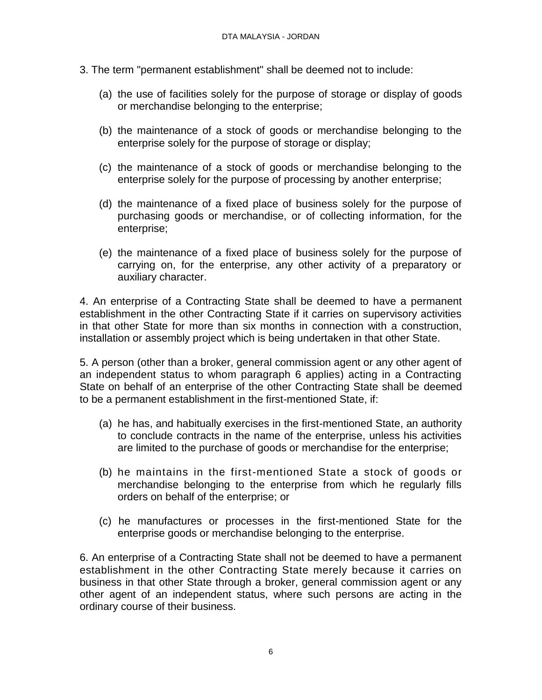- 3. The term "permanent establishment" shall be deemed not to include:
	- (a) the use of facilities solely for the purpose of storage or display of goods or merchandise belonging to the enterprise;
	- (b) the maintenance of a stock of goods or merchandise belonging to the enterprise solely for the purpose of storage or display;
	- (c) the maintenance of a stock of goods or merchandise belonging to the enterprise solely for the purpose of processing by another enterprise;
	- (d) the maintenance of a fixed place of business solely for the purpose of purchasing goods or merchandise, or of collecting information, for the enterprise;
	- (e) the maintenance of a fixed place of business solely for the purpose of carrying on, for the enterprise, any other activity of a preparatory or auxiliary character.

4. An enterprise of a Contracting State shall be deemed to have a permanent establishment in the other Contracting State if it carries on supervisory activities in that other State for more than six months in connection with a construction, installation or assembly project which is being undertaken in that other State.

5. A person (other than a broker, general commission agent or any other agent of an independent status to whom paragraph 6 applies) acting in a Contracting State on behalf of an enterprise of the other Contracting State shall be deemed to be a permanent establishment in the first-mentioned State, if:

- (a) he has, and habitually exercises in the first-mentioned State, an authority to conclude contracts in the name of the enterprise, unless his activities are limited to the purchase of goods or merchandise for the enterprise;
- (b) he maintains in the first-mentioned State a stock of goods or merchandise belonging to the enterprise from which he regularly fills orders on behalf of the enterprise; or
- (c) he manufactures or processes in the first-mentioned State for the enterprise goods or merchandise belonging to the enterprise.

6. An enterprise of a Contracting State shall not be deemed to have a permanent establishment in the other Contracting State merely because it carries on business in that other State through a broker, general commission agent or any other agent of an independent status, where such persons are acting in the ordinary course of their business.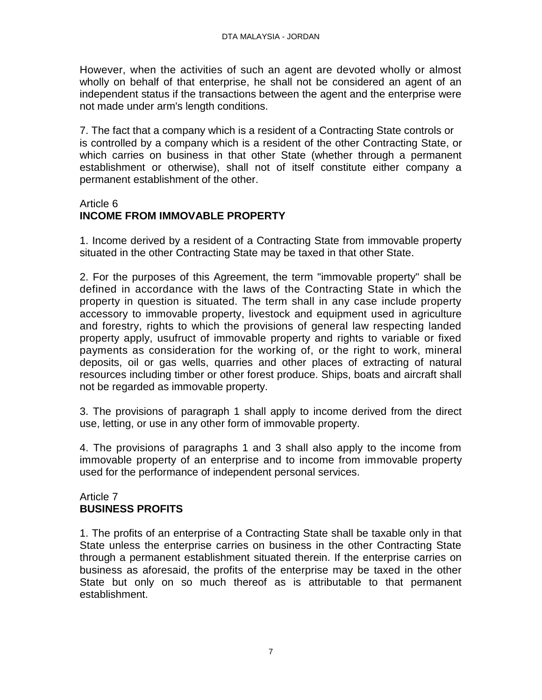However, when the activities of such an agent are devoted wholly or almost wholly on behalf of that enterprise, he shall not be considered an agent of an independent status if the transactions between the agent and the enterprise were not made under arm's length conditions.

7. The fact that a company which is a resident of a Contracting State controls or is controlled by a company which is a resident of the other Contracting State, or which carries on business in that other State (whether through a permanent establishment or otherwise), shall not of itself constitute either company a permanent establishment of the other.

#### Article 6

## **INCOME FROM IMMOVABLE PROPERTY**

1. Income derived by a resident of a Contracting State from immovable property situated in the other Contracting State may be taxed in that other State.

2. For the purposes of this Agreement, the term "immovable property" shall be defined in accordance with the laws of the Contracting State in which the property in question is situated. The term shall in any case include property accessory to immovable property, livestock and equipment used in agriculture and forestry, rights to which the provisions of general law respecting landed property apply, usufruct of immovable property and rights to variable or fixed payments as consideration for the working of, or the right to work, mineral deposits, oil or gas wells, quarries and other places of extracting of natural resources including timber or other forest produce. Ships, boats and aircraft shall not be regarded as immovable property.

3. The provisions of paragraph 1 shall apply to income derived from the direct use, letting, or use in any other form of immovable property.

4. The provisions of paragraphs 1 and 3 shall also apply to the income from immovable property of an enterprise and to income from immovable property used for the performance of independent personal services.

#### Article 7 **BUSINESS PROFITS**

1. The profits of an enterprise of a Contracting State shall be taxable only in that State unless the enterprise carries on business in the other Contracting State through a permanent establishment situated therein. If the enterprise carries on business as aforesaid, the profits of the enterprise may be taxed in the other State but only on so much thereof as is attributable to that permanent establishment.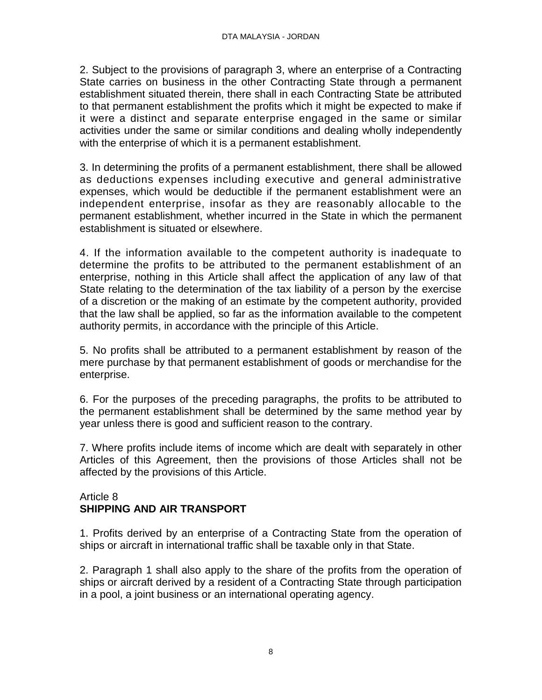2. Subject to the provisions of paragraph 3, where an enterprise of a Contracting State carries on business in the other Contracting State through a permanent establishment situated therein, there shall in each Contracting State be attributed to that permanent establishment the profits which it might be expected to make if it were a distinct and separate enterprise engaged in the same or similar activities under the same or similar conditions and dealing wholly independently with the enterprise of which it is a permanent establishment.

3. In determining the profits of a permanent establishment, there shall be allowed as deductions expenses including executive and general administrative expenses, which would be deductible if the permanent establishment were an independent enterprise, insofar as they are reasonably allocable to the permanent establishment, whether incurred in the State in which the permanent establishment is situated or elsewhere.

4. If the information available to the competent authority is inadequate to determine the profits to be attributed to the permanent establishment of an enterprise, nothing in this Article shall affect the application of any law of that State relating to the determination of the tax liability of a person by the exercise of a discretion or the making of an estimate by the competent authority, provided that the law shall be applied, so far as the information available to the competent authority permits, in accordance with the principle of this Article.

5. No profits shall be attributed to a permanent establishment by reason of the mere purchase by that permanent establishment of goods or merchandise for the enterprise.

6. For the purposes of the preceding paragraphs, the profits to be attributed to the permanent establishment shall be determined by the same method year by year unless there is good and sufficient reason to the contrary.

7. Where profits include items of income which are dealt with separately in other Articles of this Agreement, then the provisions of those Articles shall not be affected by the provisions of this Article.

#### Article 8 **SHIPPING AND AIR TRANSPORT**

1. Profits derived by an enterprise of a Contracting State from the operation of ships or aircraft in international traffic shall be taxable only in that State.

2. Paragraph 1 shall also apply to the share of the profits from the operation of ships or aircraft derived by a resident of a Contracting State through participation in a pool, a joint business or an international operating agency.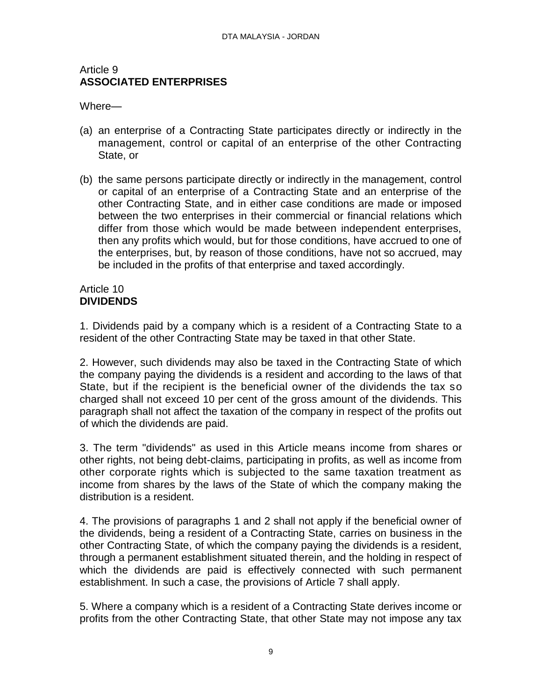#### Article 9 **ASSOCIATED ENTERPRISES**

Where—

- (a) an enterprise of a Contracting State participates directly or indirectly in the management, control or capital of an enterprise of the other Contracting State, or
- (b) the same persons participate directly or indirectly in the management, control or capital of an enterprise of a Contracting State and an enterprise of the other Contracting State, and in either case conditions are made or imposed between the two enterprises in their commercial or financial relations which differ from those which would be made between independent enterprises, then any profits which would, but for those conditions, have accrued to one of the enterprises, but, by reason of those conditions, have not so accrued, may be included in the profits of that enterprise and taxed accordingly.

#### Article 10 **DIVIDENDS**

1. Dividends paid by a company which is a resident of a Contracting State to a resident of the other Contracting State may be taxed in that other State.

2. However, such dividends may also be taxed in the Contracting State of which the company paying the dividends is a resident and according to the laws of that State, but if the recipient is the beneficial owner of the dividends the tax so charged shall not exceed 10 per cent of the gross amount of the dividends. This paragraph shall not affect the taxation of the company in respect of the profits out of which the dividends are paid.

3. The term "dividends" as used in this Article means income from shares or other rights, not being debt-claims, participating in profits, as well as income from other corporate rights which is subjected to the same taxation treatment as income from shares by the laws of the State of which the company making the distribution is a resident.

4. The provisions of paragraphs 1 and 2 shall not apply if the beneficial owner of the dividends, being a resident of a Contracting State, carries on business in the other Contracting State, of which the company paying the dividends is a resident, through a permanent establishment situated therein, and the holding in respect of which the dividends are paid is effectively connected with such permanent establishment. In such a case, the provisions of Article 7 shall apply.

5. Where a company which is a resident of a Contracting State derives income or profits from the other Contracting State, that other State may not impose any tax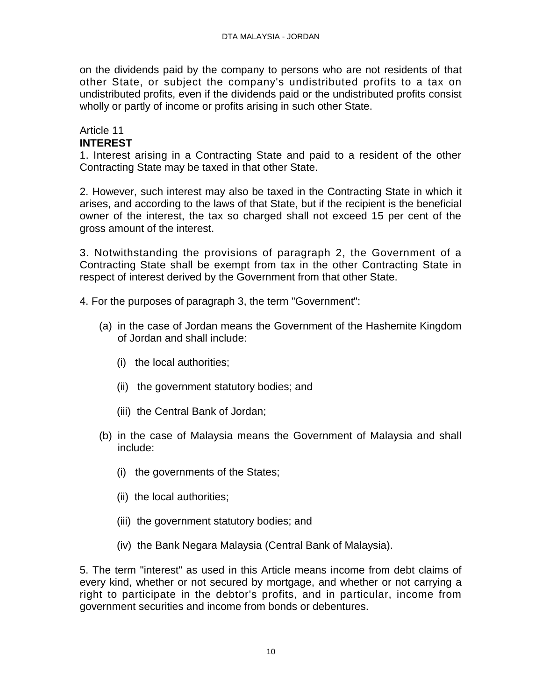on the dividends paid by the company to persons who are not residents of that other State, or subject the company's undistributed profits to a tax on undistributed profits, even if the dividends paid or the undistributed profits consist wholly or partly of income or profits arising in such other State.

#### Article 11 **INTEREST**

1. Interest arising in a Contracting State and paid to a resident of the other Contracting State may be taxed in that other State.

2. However, such interest may also be taxed in the Contracting State in which it arises, and according to the laws of that State, but if the recipient is the beneficial owner of the interest, the tax so charged shall not exceed 15 per cent of the gross amount of the interest.

3. Notwithstanding the provisions of paragraph 2, the Government of a Contracting State shall be exempt from tax in the other Contracting State in respect of interest derived by the Government from that other State.

4. For the purposes of paragraph 3, the term "Government":

- (a) in the case of Jordan means the Government of the Hashemite Kingdom of Jordan and shall include:
	- (i) the local authorities;
	- (ii) the government statutory bodies; and
	- (iii) the Central Bank of Jordan;
- (b) in the case of Malaysia means the Government of Malaysia and shall include:
	- (i) the governments of the States;
	- (ii) the local authorities;
	- (iii) the government statutory bodies; and
	- (iv) the Bank Negara Malaysia (Central Bank of Malaysia).

5. The term "interest" as used in this Article means income from debt claims of every kind, whether or not secured by mortgage, and whether or not carrying a right to participate in the debtor's profits, and in particular, income from government securities and income from bonds or debentures.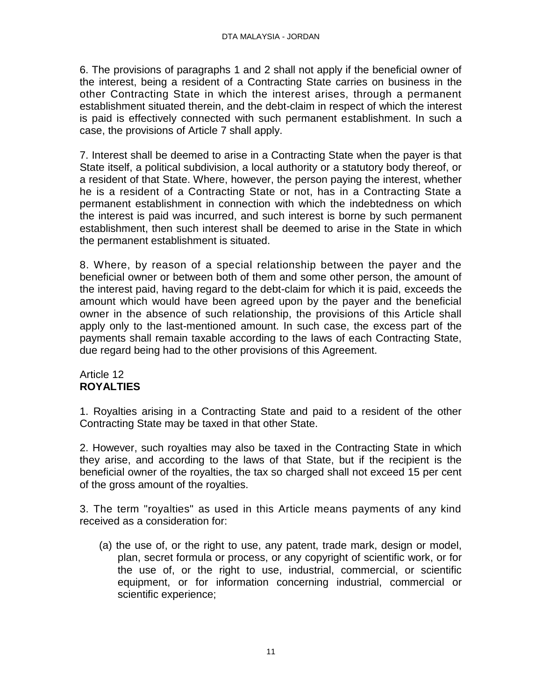6. The provisions of paragraphs 1 and 2 shall not apply if the beneficial owner of the interest, being a resident of a Contracting State carries on business in the other Contracting State in which the interest arises, through a permanent establishment situated therein, and the debt-claim in respect of which the interest is paid is effectively connected with such permanent establishment. In such a case, the provisions of Article 7 shall apply.

7. Interest shall be deemed to arise in a Contracting State when the payer is that State itself, a political subdivision, a local authority or a statutory body thereof, or a resident of that State. Where, however, the person paying the interest, whether he is a resident of a Contracting State or not, has in a Contracting State a permanent establishment in connection with which the indebtedness on which the interest is paid was incurred, and such interest is borne by such permanent establishment, then such interest shall be deemed to arise in the State in which the permanent establishment is situated.

8. Where, by reason of a special relationship between the payer and the beneficial owner or between both of them and some other person, the amount of the interest paid, having regard to the debt-claim for which it is paid, exceeds the amount which would have been agreed upon by the payer and the beneficial owner in the absence of such relationship, the provisions of this Article shall apply only to the last-mentioned amount. In such case, the excess part of the payments shall remain taxable according to the laws of each Contracting State, due regard being had to the other provisions of this Agreement.

## Article 12 **ROYALTIES**

1. Royalties arising in a Contracting State and paid to a resident of the other Contracting State may be taxed in that other State.

2. However, such royalties may also be taxed in the Contracting State in which they arise, and according to the laws of that State, but if the recipient is the beneficial owner of the royalties, the tax so charged shall not exceed 15 per cent of the gross amount of the royalties.

3. The term "royalties" as used in this Article means payments of any kind received as a consideration for:

(a) the use of, or the right to use, any patent, trade mark, design or model, plan, secret formula or process, or any copyright of scientific work, or for the use of, or the right to use, industrial, commercial, or scientific equipment, or for information concerning industrial, commercial or scientific experience;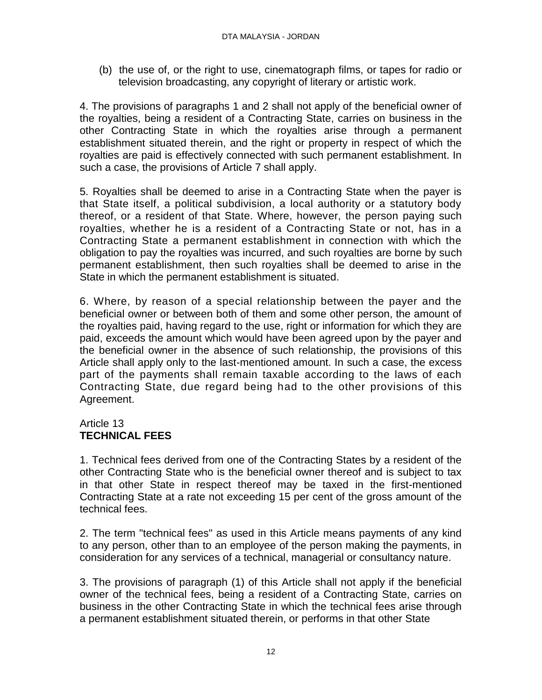(b) the use of, or the right to use, cinematograph films, or tapes for radio or television broadcasting, any copyright of literary or artistic work.

4. The provisions of paragraphs 1 and 2 shall not apply of the beneficial owner of the royalties, being a resident of a Contracting State, carries on business in the other Contracting State in which the royalties arise through a permanent establishment situated therein, and the right or property in respect of which the royalties are paid is effectively connected with such permanent establishment. In such a case, the provisions of Article 7 shall apply.

5. Royalties shall be deemed to arise in a Contracting State when the payer is that State itself, a political subdivision, a local authority or a statutory body thereof, or a resident of that State. Where, however, the person paying such royalties, whether he is a resident of a Contracting State or not, has in a Contracting State a permanent establishment in connection with which the obligation to pay the royalties was incurred, and such royalties are borne by such permanent establishment, then such royalties shall be deemed to arise in the State in which the permanent establishment is situated.

6. Where, by reason of a special relationship between the payer and the beneficial owner or between both of them and some other person, the amount of the royalties paid, having regard to the use, right or information for which they are paid, exceeds the amount which would have been agreed upon by the payer and the beneficial owner in the absence of such relationship, the provisions of this Article shall apply only to the last-mentioned amount. In such a case, the excess part of the payments shall remain taxable according to the laws of each Contracting State, due regard being had to the other provisions of this Agreement.

## Article 13 **TECHNICAL FEES**

1. Technical fees derived from one of the Contracting States by a resident of the other Contracting State who is the beneficial owner thereof and is subject to tax in that other State in respect thereof may be taxed in the first-mentioned Contracting State at a rate not exceeding 15 per cent of the gross amount of the technical fees.

2. The term "technical fees" as used in this Article means payments of any kind to any person, other than to an employee of the person making the payments, in consideration for any services of a technical, managerial or consultancy nature.

3. The provisions of paragraph (1) of this Article shall not apply if the beneficial owner of the technical fees, being a resident of a Contracting State, carries on business in the other Contracting State in which the technical fees arise through a permanent establishment situated therein, or performs in that other State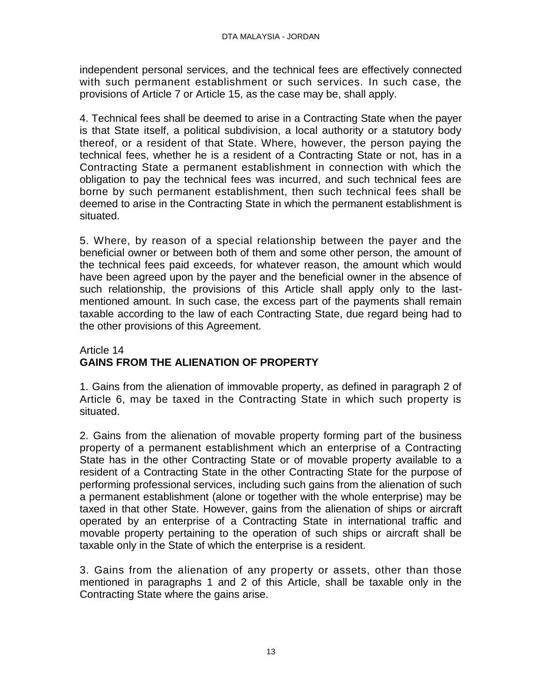independent personal services, and the technical fees are effectively connected with such permanent establishment or such services. In such case, the provisions of Article 7 or Article 15, as the case may be, shall apply.

4. Technical fees shall be deemed to arise in a Contracting State when the payer is that State itself, a political subdivision, a local authority or a statutory body thereof, or a resident of that State. Where, however, the person paying the technical fees, whether he is a resident of a Contracting State or not, has in a Contracting State a permanent establishment in connection with which the obligation to pay the technical fees was incurred, and such technical fees are borne by such permanent establishment, then such technical fees shall be deemed to arise in the Contracting State in which the permanent establishment is situated.

5. Where, by reason of a special relationship between the payer and the beneficial owner or between both of them and some other person, the amount of the technical fees paid exceeds, for whatever reason, the amount which would have been agreed upon by the payer and the beneficial owner in the absence of such relationship, the provisions of this Article shall apply only to the lastmentioned amount. In such case, the excess part of the payments shall remain taxable according to the law of each Contracting State, due regard being had to the other provisions of this Agreement.

## Article 14 **GAINS FROM THE ALIENATION OF PROPERTY**

1. Gains from the alienation of immovable property, as defined in paragraph 2 of Article 6, may be taxed in the Contracting State in which such property is situated.

2. Gains from the alienation of movable property forming part of the business property of a permanent establishment which an enterprise of a Contracting State has in the other Contracting State or of movable property available to a resident of a Contracting State in the other Contracting State for the purpose of performing professional services, including such gains from the alienation of such a permanent establishment (alone or together with the whole enterprise) may be taxed in that other State. However, gains from the alienation of ships or aircraft operated by an enterprise of a Contracting State in international traffic and movable property pertaining to the operation of such ships or aircraft shall be taxable only in the State of which the enterprise is a resident.

3. Gains from the alienation of any property or assets, other than those mentioned in paragraphs 1 and 2 of this Article, shall be taxable only in the Contracting State where the gains arise.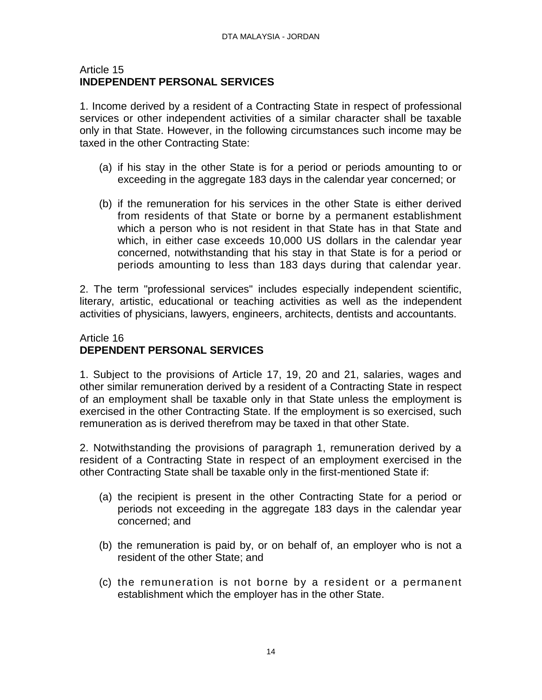#### Article 15 **INDEPENDENT PERSONAL SERVICES**

1. Income derived by a resident of a Contracting State in respect of professional services or other independent activities of a similar character shall be taxable only in that State. However, in the following circumstances such income may be taxed in the other Contracting State:

- (a) if his stay in the other State is for a period or periods amounting to or exceeding in the aggregate 183 days in the calendar year concerned; or
- (b) if the remuneration for his services in the other State is either derived from residents of that State or borne by a permanent establishment which a person who is not resident in that State has in that State and which, in either case exceeds 10,000 US dollars in the calendar year concerned, notwithstanding that his stay in that State is for a period or periods amounting to less than 183 days during that calendar year.

2. The term "professional services" includes especially independent scientific, literary, artistic, educational or teaching activities as well as the independent activities of physicians, lawyers, engineers, architects, dentists and accountants.

#### Article 16 **DEPENDENT PERSONAL SERVICES**

1. Subject to the provisions of Article 17, 19, 20 and 21, salaries, wages and other similar remuneration derived by a resident of a Contracting State in respect of an employment shall be taxable only in that State unless the employment is exercised in the other Contracting State. If the employment is so exercised, such remuneration as is derived therefrom may be taxed in that other State.

2. Notwithstanding the provisions of paragraph 1, remuneration derived by a resident of a Contracting State in respect of an employment exercised in the other Contracting State shall be taxable only in the first-mentioned State if:

- (a) the recipient is present in the other Contracting State for a period or periods not exceeding in the aggregate 183 days in the calendar year concerned; and
- (b) the remuneration is paid by, or on behalf of, an employer who is not a resident of the other State; and
- (c) the remuneration is not borne by a resident or a permanent establishment which the employer has in the other State.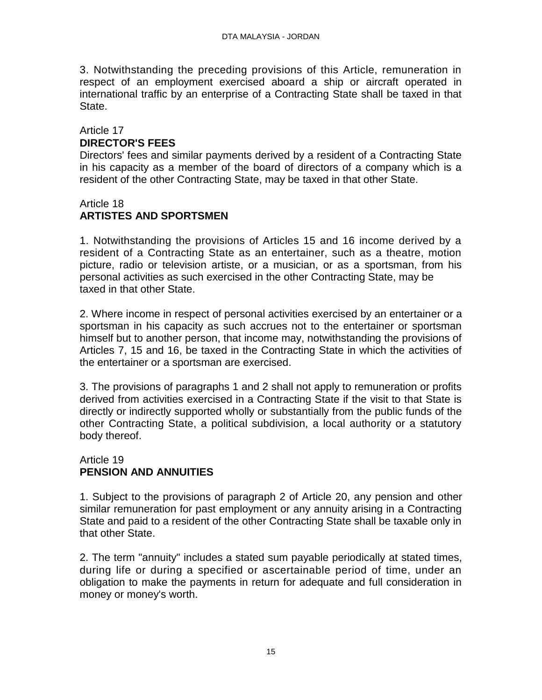3. Notwithstanding the preceding provisions of this Article, remuneration in respect of an employment exercised aboard a ship or aircraft operated in international traffic by an enterprise of a Contracting State shall be taxed in that State.

### Article 17 **DIRECTOR'S FEES**

Directors' fees and similar payments derived by a resident of a Contracting State in his capacity as a member of the board of directors of a company which is a resident of the other Contracting State, may be taxed in that other State.

### Article 18 **ARTISTES AND SPORTSMEN**

1. Notwithstanding the provisions of Articles 15 and 16 income derived by a resident of a Contracting State as an entertainer, such as a theatre, motion picture, radio or television artiste, or a musician, or as a sportsman, from his personal activities as such exercised in the other Contracting State, may be taxed in that other State.

2. Where income in respect of personal activities exercised by an entertainer or a sportsman in his capacity as such accrues not to the entertainer or sportsman himself but to another person, that income may, notwithstanding the provisions of Articles 7, 15 and 16, be taxed in the Contracting State in which the activities of the entertainer or a sportsman are exercised.

3. The provisions of paragraphs 1 and 2 shall not apply to remuneration or profits derived from activities exercised in a Contracting State if the visit to that State is directly or indirectly supported wholly or substantially from the public funds of the other Contracting State, a political subdivision, a local authority or a statutory body thereof.

#### Article 19 **PENSION AND ANNUITIES**

1. Subject to the provisions of paragraph 2 of Article 20, any pension and other similar remuneration for past employment or any annuity arising in a Contracting State and paid to a resident of the other Contracting State shall be taxable only in that other State.

2. The term "annuity" includes a stated sum payable periodically at stated times, during life or during a specified or ascertainable period of time, under an obligation to make the payments in return for adequate and full consideration in money or money's worth.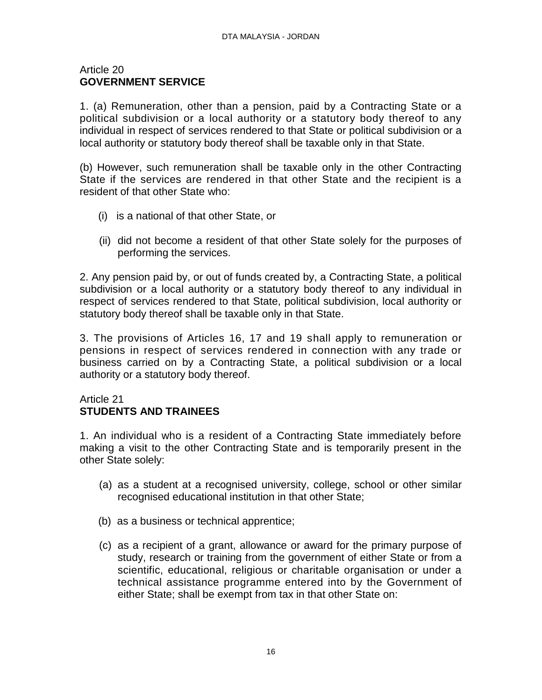#### Article 20 **GOVERNMENT SERVICE**

1. (a) Remuneration, other than a pension, paid by a Contracting State or a political subdivision or a local authority or a statutory body thereof to any individual in respect of services rendered to that State or political subdivision or a local authority or statutory body thereof shall be taxable only in that State.

(b) However, such remuneration shall be taxable only in the other Contracting State if the services are rendered in that other State and the recipient is a resident of that other State who:

- (i) is a national of that other State, or
- (ii) did not become a resident of that other State solely for the purposes of performing the services.

2. Any pension paid by, or out of funds created by, a Contracting State, a political subdivision or a local authority or a statutory body thereof to any individual in respect of services rendered to that State, political subdivision, local authority or statutory body thereof shall be taxable only in that State.

3. The provisions of Articles 16, 17 and 19 shall apply to remuneration or pensions in respect of services rendered in connection with any trade or business carried on by a Contracting State, a political subdivision or a local authority or a statutory body thereof.

#### Article 21 **STUDENTS AND TRAINEES**

1. An individual who is a resident of a Contracting State immediately before making a visit to the other Contracting State and is temporarily present in the other State solely:

- (a) as a student at a recognised university, college, school or other similar recognised educational institution in that other State;
- (b) as a business or technical apprentice;
- (c) as a recipient of a grant, allowance or award for the primary purpose of study, research or training from the government of either State or from a scientific, educational, religious or charitable organisation or under a technical assistance programme entered into by the Government of either State; shall be exempt from tax in that other State on: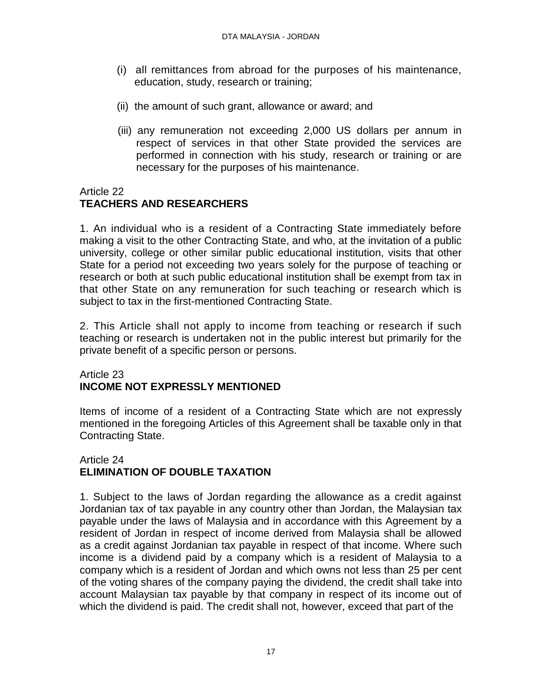- (i) all remittances from abroad for the purposes of his maintenance, education, study, research or training;
- (ii) the amount of such grant, allowance or award; and
- (iii) any remuneration not exceeding 2,000 US dollars per annum in respect of services in that other State provided the services are performed in connection with his study, research or training or are necessary for the purposes of his maintenance.

# Article 22

# **TEACHERS AND RESEARCHERS**

1. An individual who is a resident of a Contracting State immediately before making a visit to the other Contracting State, and who, at the invitation of a public university, college or other similar public educational institution, visits that other State for a period not exceeding two years solely for the purpose of teaching or research or both at such public educational institution shall be exempt from tax in that other State on any remuneration for such teaching or research which is subject to tax in the first-mentioned Contracting State.

2. This Article shall not apply to income from teaching or research if such teaching or research is undertaken not in the public interest but primarily for the private benefit of a specific person or persons.

## Article 23 **INCOME NOT EXPRESSLY MENTIONED**

Items of income of a resident of a Contracting State which are not expressly mentioned in the foregoing Articles of this Agreement shall be taxable only in that Contracting State.

## Article 24 **ELIMINATION OF DOUBLE TAXATION**

1. Subject to the laws of Jordan regarding the allowance as a credit against Jordanian tax of tax payable in any country other than Jordan, the Malaysian tax payable under the laws of Malaysia and in accordance with this Agreement by a resident of Jordan in respect of income derived from Malaysia shall be allowed as a credit against Jordanian tax payable in respect of that income. Where such income is a dividend paid by a company which is a resident of Malaysia to a company which is a resident of Jordan and which owns not less than 25 per cent of the voting shares of the company paying the dividend, the credit shall take into account Malaysian tax payable by that company in respect of its income out of which the dividend is paid. The credit shall not, however, exceed that part of the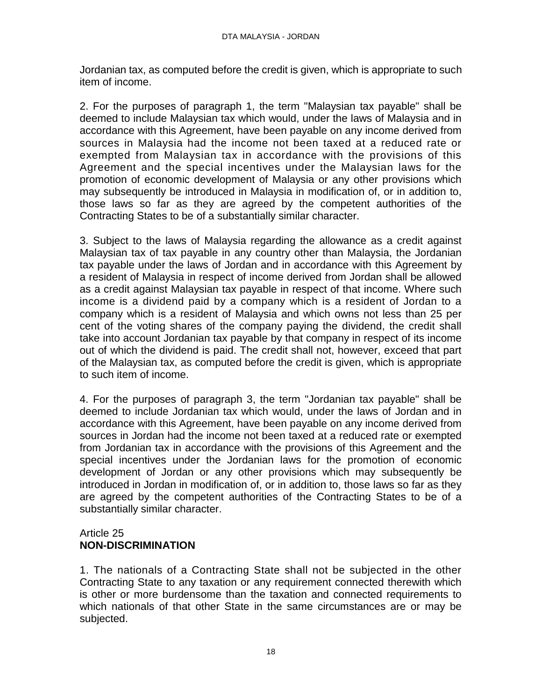Jordanian tax, as computed before the credit is given, which is appropriate to such item of income.

2. For the purposes of paragraph 1, the term "Malaysian tax payable" shall be deemed to include Malaysian tax which would, under the laws of Malaysia and in accordance with this Agreement, have been payable on any income derived from sources in Malaysia had the income not been taxed at a reduced rate or exempted from Malaysian tax in accordance with the provisions of this Agreement and the special incentives under the Malaysian laws for the promotion of economic development of Malaysia or any other provisions which may subsequently be introduced in Malaysia in modification of, or in addition to, those laws so far as they are agreed by the competent authorities of the Contracting States to be of a substantially similar character.

3. Subject to the laws of Malaysia regarding the allowance as a credit against Malaysian tax of tax payable in any country other than Malaysia, the Jordanian tax payable under the laws of Jordan and in accordance with this Agreement by a resident of Malaysia in respect of income derived from Jordan shall be allowed as a credit against Malaysian tax payable in respect of that income. Where such income is a dividend paid by a company which is a resident of Jordan to a company which is a resident of Malaysia and which owns not less than 25 per cent of the voting shares of the company paying the dividend, the credit shall take into account Jordanian tax payable by that company in respect of its income out of which the dividend is paid. The credit shall not, however, exceed that part of the Malaysian tax, as computed before the credit is given, which is appropriate to such item of income.

4. For the purposes of paragraph 3, the term "Jordanian tax payable" shall be deemed to include Jordanian tax which would, under the laws of Jordan and in accordance with this Agreement, have been payable on any income derived from sources in Jordan had the income not been taxed at a reduced rate or exempted from Jordanian tax in accordance with the provisions of this Agreement and the special incentives under the Jordanian laws for the promotion of economic development of Jordan or any other provisions which may subsequently be introduced in Jordan in modification of, or in addition to, those laws so far as they are agreed by the competent authorities of the Contracting States to be of a substantially similar character.

#### Article 25 **NON-DISCRIMINATION**

1. The nationals of a Contracting State shall not be subjected in the other Contracting State to any taxation or any requirement connected therewith which is other or more burdensome than the taxation and connected requirements to which nationals of that other State in the same circumstances are or may be subjected.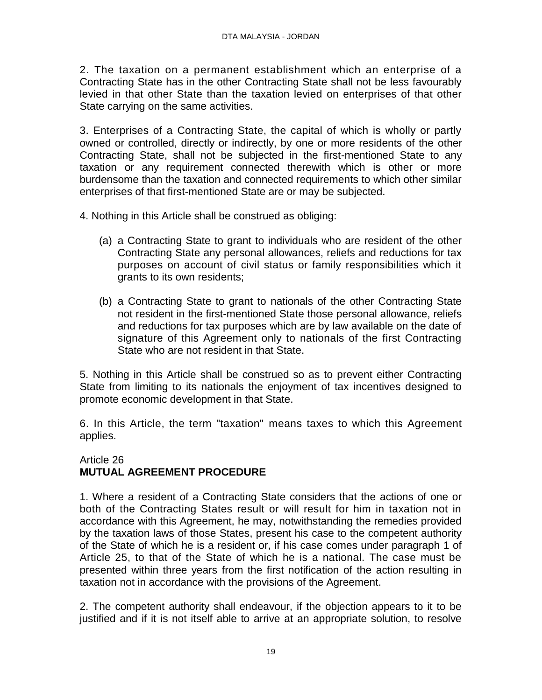2. The taxation on a permanent establishment which an enterprise of a Contracting State has in the other Contracting State shall not be less favourably levied in that other State than the taxation levied on enterprises of that other State carrying on the same activities.

3. Enterprises of a Contracting State, the capital of which is wholly or partly owned or controlled, directly or indirectly, by one or more residents of the other Contracting State, shall not be subjected in the first-mentioned State to any taxation or any requirement connected therewith which is other or more burdensome than the taxation and connected requirements to which other similar enterprises of that first-mentioned State are or may be subjected.

- 4. Nothing in this Article shall be construed as obliging:
	- (a) a Contracting State to grant to individuals who are resident of the other Contracting State any personal allowances, reliefs and reductions for tax purposes on account of civil status or family responsibilities which it grants to its own residents;
	- (b) a Contracting State to grant to nationals of the other Contracting State not resident in the first-mentioned State those personal allowance, reliefs and reductions for tax purposes which are by law available on the date of signature of this Agreement only to nationals of the first Contracting State who are not resident in that State.

5. Nothing in this Article shall be construed so as to prevent either Contracting State from limiting to its nationals the enjoyment of tax incentives designed to promote economic development in that State.

6. In this Article, the term "taxation" means taxes to which this Agreement applies.

#### Article 26 **MUTUAL AGREEMENT PROCEDURE**

1. Where a resident of a Contracting State considers that the actions of one or both of the Contracting States result or will result for him in taxation not in accordance with this Agreement, he may, notwithstanding the remedies provided by the taxation laws of those States, present his case to the competent authority of the State of which he is a resident or, if his case comes under paragraph 1 of Article 25, to that of the State of which he is a national. The case must be presented within three years from the first notification of the action resulting in taxation not in accordance with the provisions of the Agreement.

2. The competent authority shall endeavour, if the objection appears to it to be justified and if it is not itself able to arrive at an appropriate solution, to resolve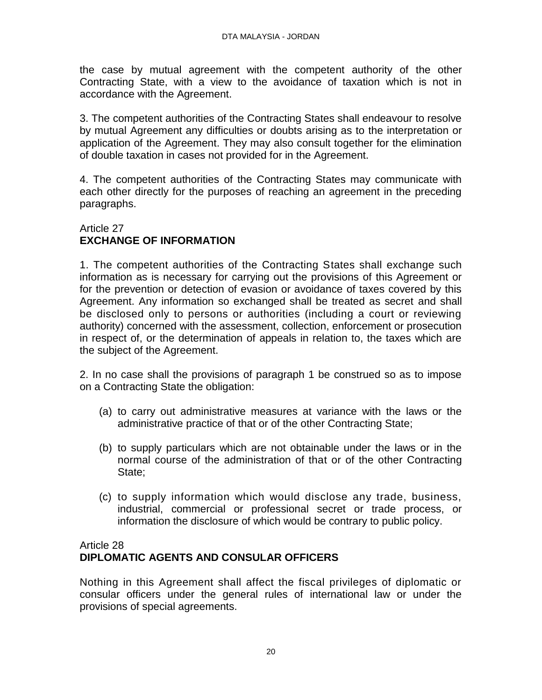the case by mutual agreement with the competent authority of the other Contracting State, with a view to the avoidance of taxation which is not in accordance with the Agreement.

3. The competent authorities of the Contracting States shall endeavour to resolve by mutual Agreement any difficulties or doubts arising as to the interpretation or application of the Agreement. They may also consult together for the elimination of double taxation in cases not provided for in the Agreement.

4. The competent authorities of the Contracting States may communicate with each other directly for the purposes of reaching an agreement in the preceding paragraphs.

## Article 27 **EXCHANGE OF INFORMATION**

1. The competent authorities of the Contracting States shall exchange such information as is necessary for carrying out the provisions of this Agreement or for the prevention or detection of evasion or avoidance of taxes covered by this Agreement. Any information so exchanged shall be treated as secret and shall be disclosed only to persons or authorities (including a court or reviewing authority) concerned with the assessment, collection, enforcement or prosecution in respect of, or the determination of appeals in relation to, the taxes which are the subject of the Agreement.

2. In no case shall the provisions of paragraph 1 be construed so as to impose on a Contracting State the obligation:

- (a) to carry out administrative measures at variance with the laws or the administrative practice of that or of the other Contracting State;
- (b) to supply particulars which are not obtainable under the laws or in the normal course of the administration of that or of the other Contracting State;
- (c) to supply information which would disclose any trade, business, industrial, commercial or professional secret or trade process, or information the disclosure of which would be contrary to public policy.

## Article 28 **DIPLOMATIC AGENTS AND CONSULAR OFFICERS**

Nothing in this Agreement shall affect the fiscal privileges of diplomatic or consular officers under the general rules of international law or under the provisions of special agreements.